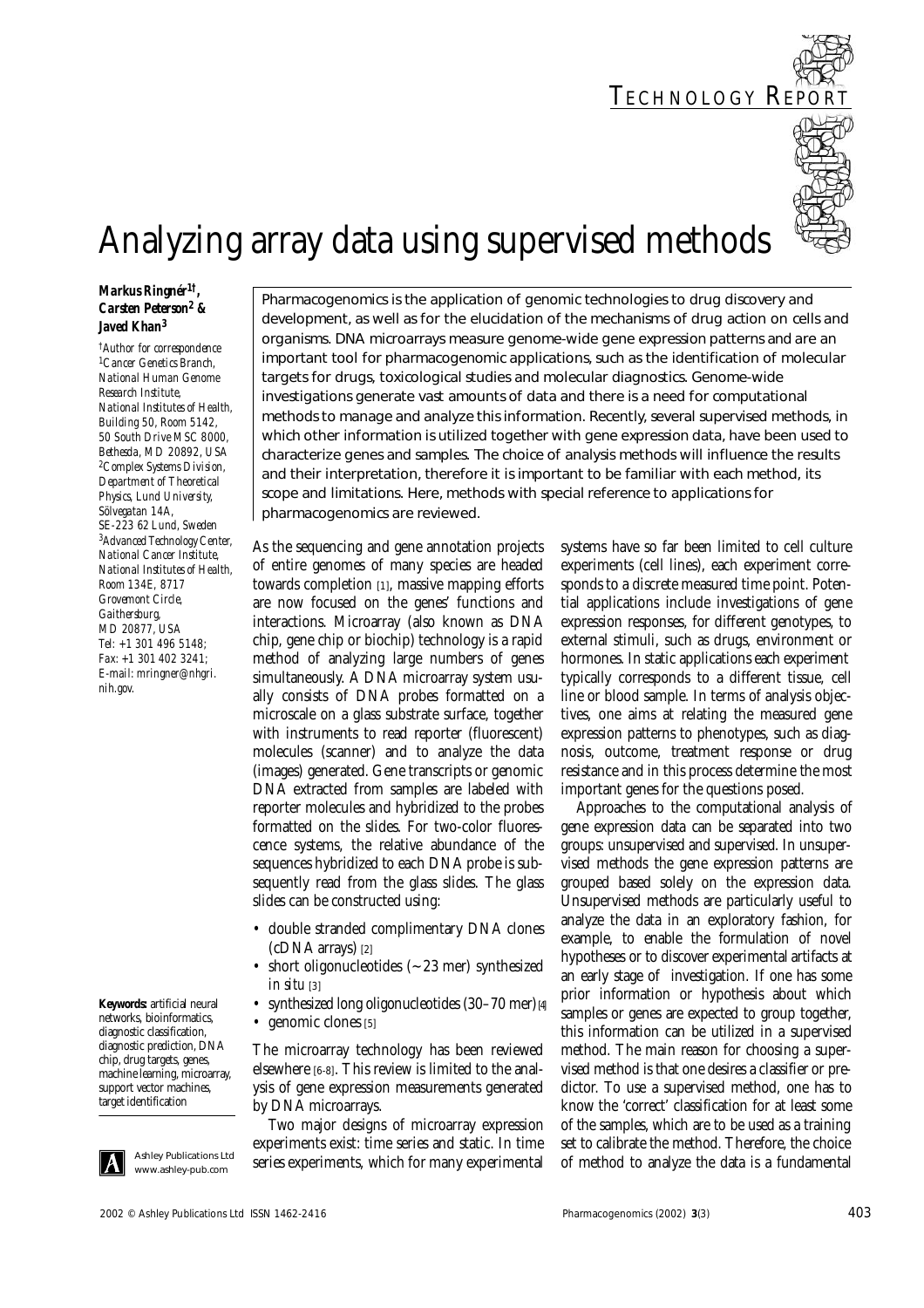

# Analyzing array data using supervised methods

#### *Markus Ringnér1†, Carsten Peterson2 & Javed Khan<sup>3</sup>*

*†Author for correspondence 1Cancer Genetics Branch, National Human Genome Research Institute, National Institutes of Health, Building 50, Room 5142, 50 South Drive MSC 8000, Bethesda, MD 20892, USA 2Complex Systems Division, Department of Theoretical Physics, Lund University, Sölvegatan 14A, SE-223 62 Lund, Sweden 3Advanced Technology Center, National Cancer Institute, National Institutes of Health, Room 134E, 8717 Grovemont Circle, Gaithersburg, MD 20877, USA Tel: +1 301 496 5148; Fax: +1 301 402 3241; E-mail: mringner@nhgri. nih.gov.*

**Keywords:** artificial neural networks, bioinformatics, diagnostic classification, diagnostic prediction, DNA chip, drug targets, genes, machine learning, microarray, support vector machines, target identification



*Ashley Publications Ltd www.ashley-pub.com*

Pharmacogenomics is the application of genomic technologies to drug discovery and development, as well as for the elucidation of the mechanisms of drug action on cells and organisms. DNA microarrays measure genome-wide gene expression patterns and are an important tool for pharmacogenomic applications, such as the identification of molecular targets for drugs, toxicological studies and molecular diagnostics. Genome-wide investigations generate vast amounts of data and there is a need for computational methods to manage and analyze this information. Recently, several supervised methods, in which other information is utilized together with gene expression data, have been used to characterize genes and samples. The choice of analysis methods will influence the results and their interpretation, therefore it is important to be familiar with each method, its scope and limitations. Here, methods with special reference to applications for pharmacogenomics are reviewed.

As the sequencing and gene annotation projects of entire genomes of many species are headed towards completion [1], massive mapping efforts are now focused on the genes' functions and interactions. Microarray (also known as DNA chip, gene chip or biochip) technology is a rapid method of analyzing large numbers of genes simultaneously. A DNA microarray system usually consists of DNA probes formatted on a microscale on a glass substrate surface, together with instruments to read reporter (fluorescent) molecules (scanner) and to analyze the data (images) generated. Gene transcripts or genomic DNA extracted from samples are labeled with reporter molecules and hybridized to the probes formatted on the slides. For two-color fluorescence systems, the relative abundance of the sequences hybridized to each DNA probe is subsequently read from the glass slides. The glass slides can be constructed using:

- double stranded complimentary DNA clones (cDNA arrays) [2]
- short oligonucleotides (~ 23 mer) synthesized *in situ* [3]
- synthesized long oligonucleotides (30–70 mer)  $\mu$
- genomic clones [5]

The microarray technology has been reviewed elsewhere [6-8]. This review is limited to the analysis of gene expression measurements generated by DNA microarrays.

Two major designs of microarray expression experiments exist: time series and static. In time series experiments, which for many experimental systems have so far been limited to cell culture experiments (cell lines), each experiment corresponds to a discrete measured time point. Potential applications include investigations of gene expression responses, for different genotypes, to external stimuli, such as drugs, environment or hormones. In static applications each experiment typically corresponds to a different tissue, cell line or blood sample. In terms of analysis objectives, one aims at relating the measured gene expression patterns to phenotypes, such as diagnosis, outcome, treatment response or drug resistance and in this process determine the most important genes for the questions posed.

Approaches to the computational analysis of gene expression data can be separated into two groups: unsupervised and supervised. In unsupervised methods the gene expression patterns are grouped based solely on the expression data. Unsupervised methods are particularly useful to analyze the data in an exploratory fashion, for example, to enable the formulation of novel hypotheses or to discover experimental artifacts at an early stage of investigation. If one has some prior information or hypothesis about which samples or genes are expected to group together, this information can be utilized in a supervised method. The main reason for choosing a supervised method is that one desires a classifier or predictor. To use a supervised method, one has to know the 'correct' classification for at least some of the samples, which are to be used as a training set to calibrate the method. Therefore, the choice of method to analyze the data is a fundamental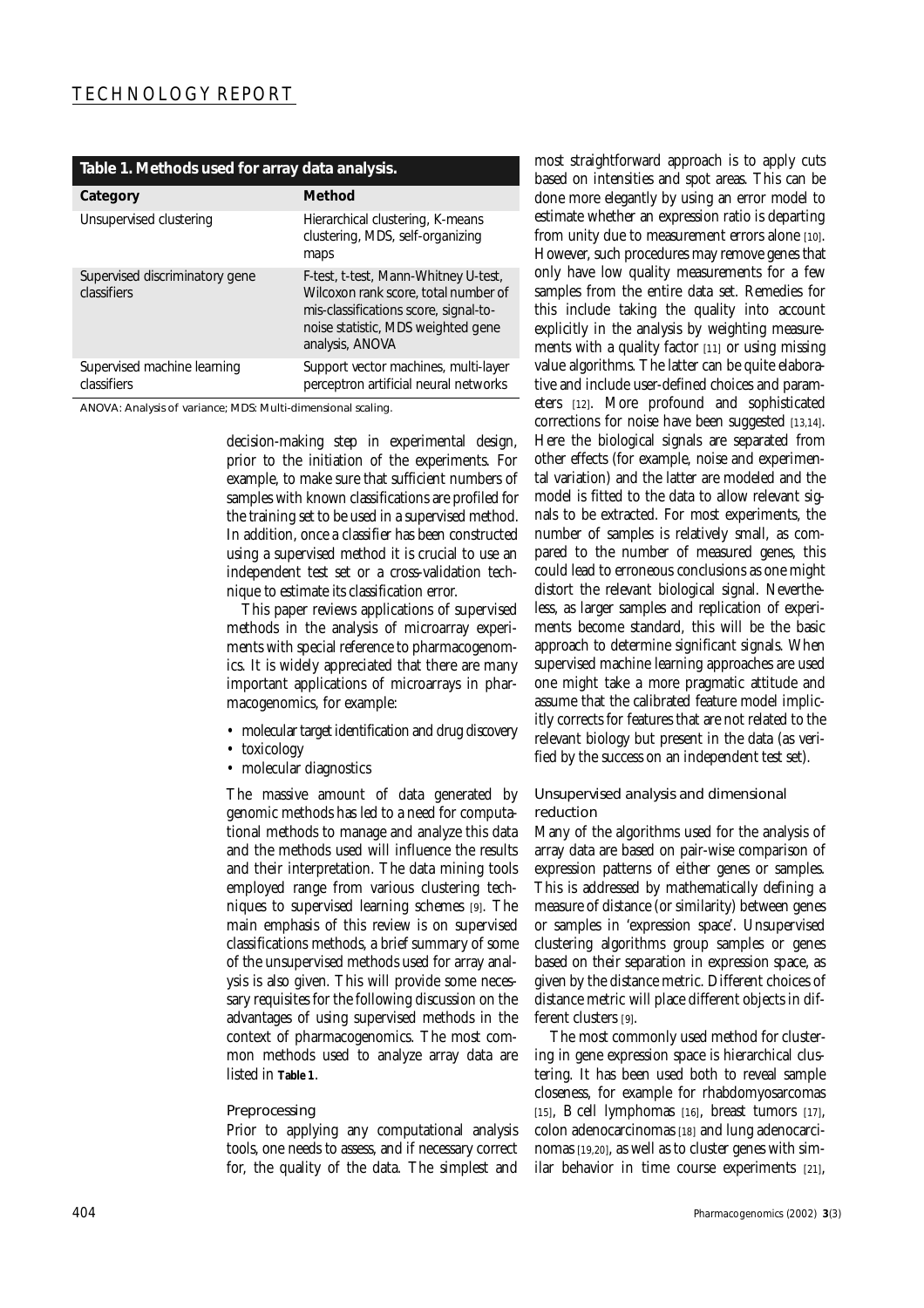| Table 1. Methods used for array data analysis. |                                                                                                                                                                                |  |
|------------------------------------------------|--------------------------------------------------------------------------------------------------------------------------------------------------------------------------------|--|
| Category                                       | Method                                                                                                                                                                         |  |
| Unsupervised clustering                        | Hierarchical clustering, K-means<br>clustering, MDS, self-organizing<br>maps                                                                                                   |  |
| Supervised discriminatory gene<br>classifiers  | F-test, t-test, Mann-Whitney U-test,<br>Wilcoxon rank score, total number of<br>mis-classifications score, signal-to-<br>noise statistic, MDS weighted gene<br>analysis, ANOVA |  |
| Supervised machine learning<br>classifiers     | Support vector machines, multi-layer<br>perceptron artificial neural networks                                                                                                  |  |

*ANOVA: Analysis of variance; MDS: Multi-dimensional scaling.*

decision-making step in experimental design, prior to the initiation of the experiments. For example, to make sure that sufficient numbers of samples with known classifications are profiled for the training set to be used in a supervised method. In addition, once a classifier has been constructed using a supervised method it is crucial to use an independent test set or a cross-validation technique to estimate its classification error.

This paper reviews applications of supervised methods in the analysis of microarray experiments with special reference to pharmacogenomics. It is widely appreciated that there are many important applications of microarrays in pharmacogenomics, for example:

- molecular target identification and drug discovery
- toxicology
- molecular diagnostics

The massive amount of data generated by genomic methods has led to a need for computational methods to manage and analyze this data and the methods used will influence the results and their interpretation. The data mining tools employed range from various clustering techniques to supervised learning schemes [9]. The main emphasis of this review is on supervised classifications methods, a brief summary of some of the unsupervised methods used for array analysis is also given. This will provide some necessary requisites for the following discussion on the advantages of using supervised methods in the context of pharmacogenomics. The most common methods used to analyze array data are listed in **Table 1**.

#### Preprocessing

Prior to applying any computational analysis tools, one needs to assess, and if necessary correct for, the quality of the data. The simplest and most straightforward approach is to apply cuts based on intensities and spot areas. This can be done more elegantly by using an error model to estimate whether an expression ratio is departing from unity due to measurement errors alone [10]. However, such procedures may remove genes that only have low quality measurements for a few samples from the entire data set. Remedies for this include taking the quality into account explicitly in the analysis by weighting measurements with a quality factor [11] or using missing value algorithms. The latter can be quite elaborative and include user-defined choices and parameters [12]. More profound and sophisticated corrections for noise have been suggested [13,14]. Here the biological signals are separated from other effects (for example, noise and experimental variation) and the latter are modeled and the model is fitted to the data to allow relevant signals to be extracted. For most experiments, the number of samples is relatively small, as compared to the number of measured genes, this could lead to erroneous conclusions as one might distort the relevant biological signal. Nevertheless, as larger samples and replication of experiments become standard, this will be the basic approach to determine significant signals. When supervised machine learning approaches are used one might take a more pragmatic attitude and assume that the calibrated feature model implicitly corrects for features that are not related to the relevant biology but present in the data (as verified by the success on an independent test set).

#### Unsupervised analysis and dimensional reduction

Many of the algorithms used for the analysis of array data are based on pair-wise comparison of expression patterns of either genes or samples. This is addressed by mathematically defining a measure of distance (or similarity) between genes or samples in 'expression space'. Unsupervised clustering algorithms group samples or genes based on their separation in expression space, as given by the distance metric. Different choices of distance metric will place different objects in different clusters [9].

The most commonly used method for clustering in gene expression space is hierarchical clustering. It has been used both to reveal sample closeness, for example for rhabdomyosarcomas [15], B cell lymphomas [16], breast tumors [17], colon adenocarcinomas [18] and lung adenocarcinomas [19,20], as well as to cluster genes with similar behavior in time course experiments [21],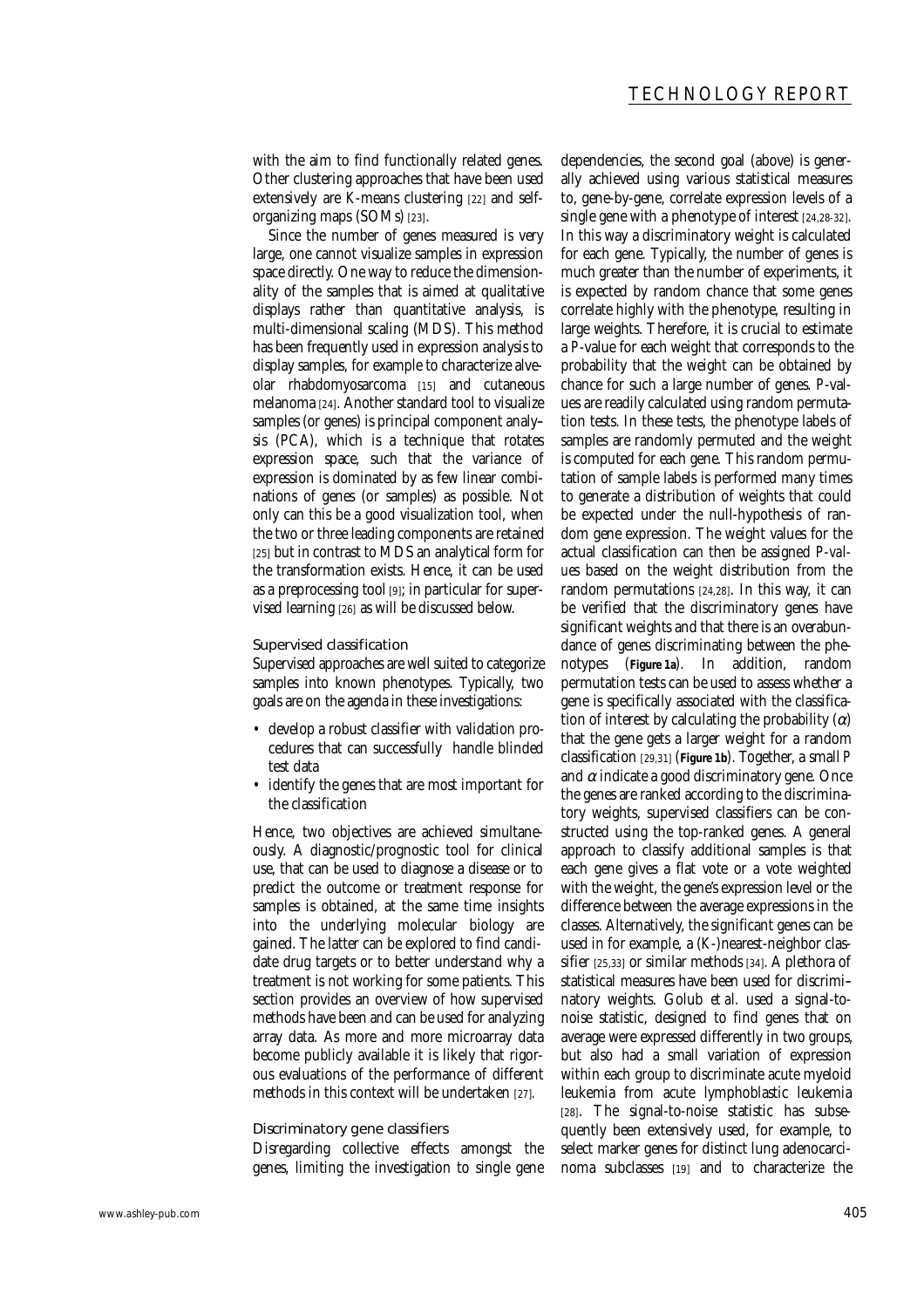with the aim to find functionally related genes. Other clustering approaches that have been used extensively are *K*-means clustering [22] and selforganizing maps (SOMs) [23].

Since the number of genes measured is very large, one cannot visualize samples in expression space directly. One way to reduce the dimensionality of the samples that is aimed at qualitative displays rather than quantitative analysis, is multi-dimensional scaling (MDS). This method has been frequently used in expression analysis to display samples, for example to characterize alveolar rhabdomyosarcoma [15] and cutaneous melanoma [24]. Another standard tool to visualize samples (or genes) is principal component analy sis (PCA), which is a technique that rotates expression space, such that the variance of expression is dominated by as few linear combinations of genes (or samples) as possible. Not only can this be a good visualization tool, when the two or three leading components are retained [25] but in contrast to MDS an analytical form for the transformation exists. Hence, it can be used as a preprocessing tool [9]; in particular for supervised learning [26] as will be discussed below.

#### Supervised classification

Supervised approaches are well suited to categorize samples into known phenotypes. Typically, two goals are on the agenda in these investigations:

- develop a robust classifier with validation procedures that can successfully handle blinded test data
- identify the genes that are most important for the classification

Hence, two objectives are achieved simultaneously. A diagnostic/prognostic tool for clinical use, that can be used to diagnose a disease or to predict the outcome or treatment response for samples is obtained, at the same time insights into the underlying molecular biology are gained. The latter can be explored to find candidate drug targets or to better understand why a treatment is not working for some patients. This section provides an overview of how supervised methods have been and can be used for analyzing array data. As more and more microarray data become publicly available it is likely that rigorous evaluations of the performance of different methods in this context will be undertaken [27]*.*

#### *Discriminatory gene classifiers*

Disregarding collective effects amongst the genes, limiting the investigation to single gene

dependencies, the second goal (above) is generally achieved using various statistical measures to, gene-by-gene, correlate expression levels of a single gene with a phenotype of interest [24,28-32]. In this way a discriminatory weight is calculated for each gene. Typically, the number of genes is much greater than the number of experiments, it is expected by random chance that some genes correlate highly with the phenotype, resulting in large weights. Therefore, it is crucial to estimate a *P*-value for each weight that corresponds to the probability that the weight can be obtained by chance for such a large number of genes. *P*-values are readily calculated using random permutation tests. In these tests, the phenotype labels of samples are randomly permuted and the weight is computed for each gene. This random permutation of sample labels is performed many times to generate a distribution of weights that could be expected under the null-hypothesis of random gene expression. The weight values for the actual classification can then be assigned *P-value*s based on the weight distribution from the random permutations [24,28]. In this way, it can be verified that the discriminatory genes have significant weights and that there is an overabundance of genes discriminating between the phenotypes (**Figure 1a**). In addition, random permutation tests can be used to assess whether a gene is specifically associated with the classification of interest by calculating the probability  $(\alpha)$ that the gene gets a larger weight for a random classification [29,31] (**Figure 1b**). Together, a small *P* and  $\alpha$  indicate a good discriminatory gene. Once the genes are ranked according to the discriminatory weights, supervised classifiers can be constructed using the top-ranked genes. A general approach to classify additional samples is that each gene gives a flat vote or a vote weighted with the weight, the gene's expression level or the difference between the average expressions in the classes. Alternatively, the significant genes can be used in for example, a (*K*-)nearest-neighbor classifier [25,33] or similar methods [34]. A plethora of statistical measures have been used for discrimi natory weights. Golub *et al.* used a signal-tonoise statistic, designed to find genes that on average were expressed differently in two groups, but also had a small variation of expression within each group to discriminate acute myeloid leukemia from acute lymphoblastic leukemia [28]. The signal-to-noise statistic has subsequently been extensively used, for example, to select marker genes for distinct lung adenocarcinoma subclasses [19] and to characterize the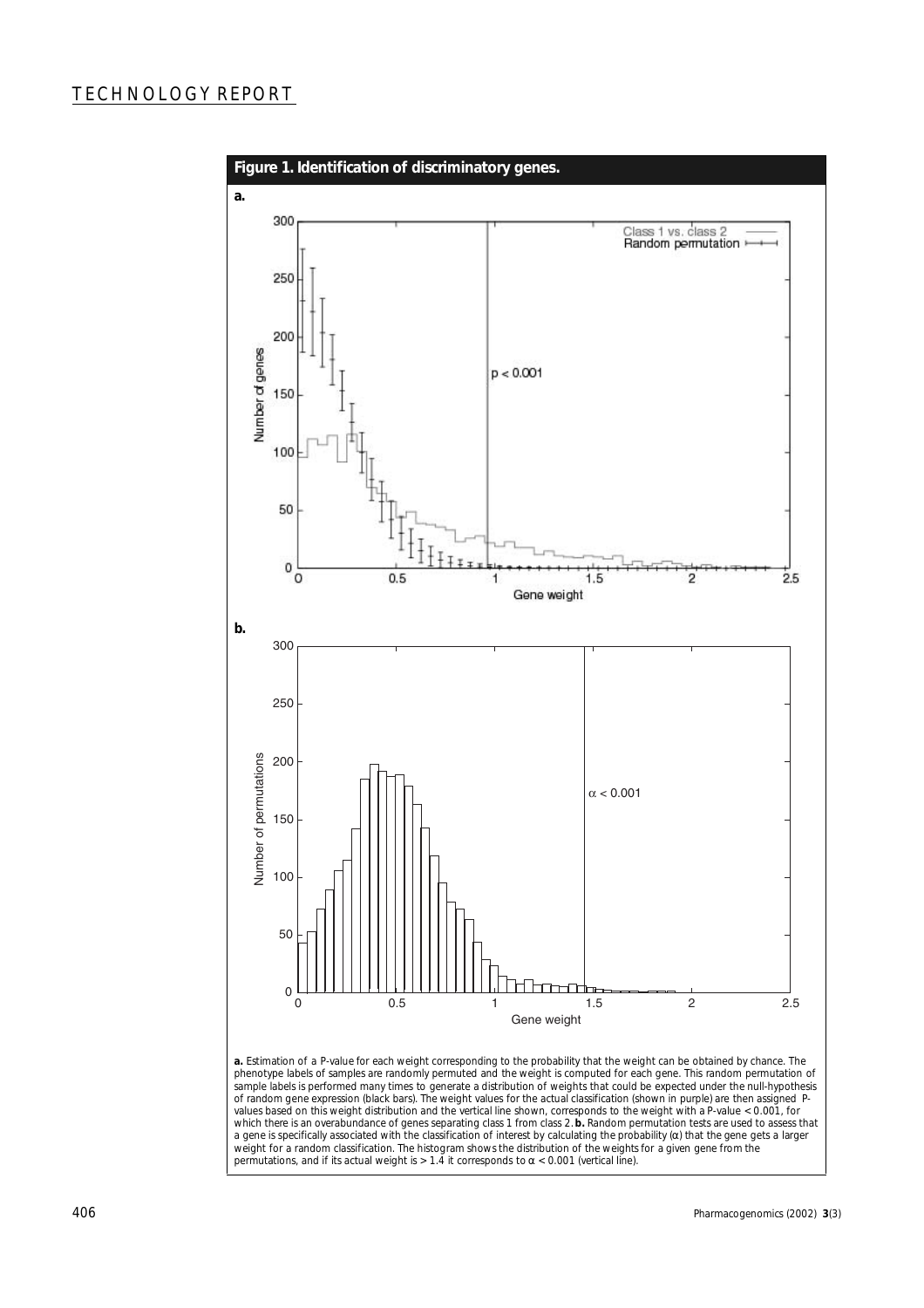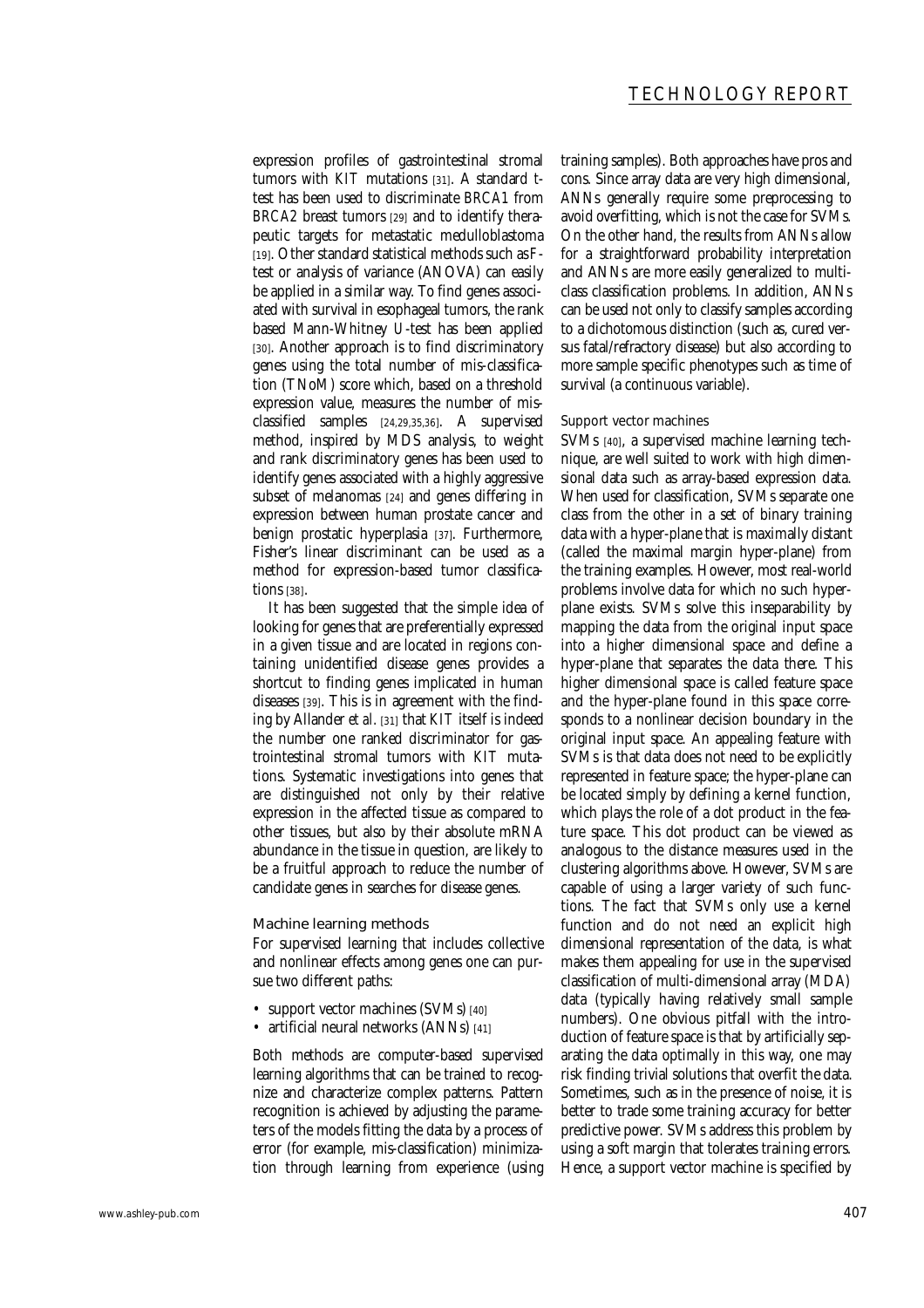expression profiles of gastrointestinal stromal tumors with *KIT* mutations [31]. A standard *t*test has been used to discriminate *BRCA1* from *BRCA2* breast tumors [29] and to identify therapeutic targets for metastatic medulloblastoma  $\overline{191}$ . Other standard statistical methods such as  $\overline{F}$ test or analysis of variance (ANOVA) can easily be applied in a similar way. To find genes associated with survival in esophageal tumors, the rank based Mann-Whitney *U*-test has been applied [30]. Another approach is to find discriminatory genes using the total number of mis-classification (TNoM) score which, based on a threshold expression value, measures the number of misclassified samples [24,29,35,36]. A supervised method, inspired by MDS analysis, to weight and rank discriminatory genes has been used to identify genes associated with a highly aggressive subset of melanomas [24] and genes differing in expression between human prostate cancer and benign prostatic hyperplasia [37]. Furthermore, Fisher's linear discriminant can be used as a method for expression-based tumor classifications [38].

It has been suggested that the simple idea of looking for genes that are preferentially expressed in a given tissue and are located in regions containing unidentified disease genes provides a shortcut to finding genes implicated in human diseases [39]. This is in agreement with the finding by Allander *et al.* [31] that *KIT* itself is indeed the number one ranked discriminator for gastrointestinal stromal tumors with *KIT* mutations. Systematic investigations into genes that are distinguished not only by their relative expression in the affected tissue as compared to other tissues, but also by their absolute mRNA abundance in the tissue in question, are likely to be a fruitful approach to reduce the number of candidate genes in searches for disease genes.

#### *Machine learning methods*

For supervised learning that includes collective and nonlinear effects among genes one can pursue two different paths:

- support vector machines (SVMs) [40]
- artificial neural networks (ANNs) [41]

Both methods are computer-based supervised learning algorithms that can be trained to recognize and characterize complex patterns. Pattern recognition is achieved by adjusting the parameters of the models fitting the data by a process of error (for example, mis-classification) minimization through learning from experience (using

training samples). Both approaches have pros and cons. Since array data are very high dimensional, ANNs generally require some preprocessing to avoid overfitting, which is not the case for SVMs. On the other hand, the results from ANNs allow for a straightforward probability interpretation and ANNs are more easily generalized to multiclass classification problems. In addition, ANNs can be used not only to classify samples according to a dichotomous distinction (such as, cured versus fatal/refractory disease) but also according to more sample specific phenotypes such as time of survival (a continuous variable).

#### *Support vector machines*

SVMs [40], a supervised machine learning technique, are well suited to work with high dimensional data such as array-based expression data. When used for classification, SVMs separate one class from the other in a set of binary training data with a hyper-plane that is maximally distant (called the maximal margin hyper-plane) from the training examples. However, most real-world problems involve data for which no such hyperplane exists. SVMs solve this inseparability by mapping the data from the original input space into a higher dimensional space and define a hyper-plane that separates the data there. This higher dimensional space is called feature space and the hyper-plane found in this space corresponds to a nonlinear decision boundary in the original input space. An appealing feature with SVMs is that data does not need to be explicitly represented in feature space; the hyper-plane can be located simply by defining a kernel function, which plays the role of a dot product in the feature space. This dot product can be viewed as analogous to the distance measures used in the clustering algorithms above. However, SVMs are capable of using a larger variety of such functions. The fact that SVMs only use a kernel function and do not need an explicit high dimensional representation of the data, is what makes them appealing for use in the supervised classification of multi-dimensional array (MDA) data (typically having relatively small sample numbers). One obvious pitfall with the introduction of feature space is that by artificially separating the data optimally in this way, one may risk finding trivial solutions that overfit the data. Sometimes, such as in the presence of noise, it is better to trade some training accuracy for better predictive power. SVMs address this problem by using a soft margin that tolerates training errors. Hence, a support vector machine is specified by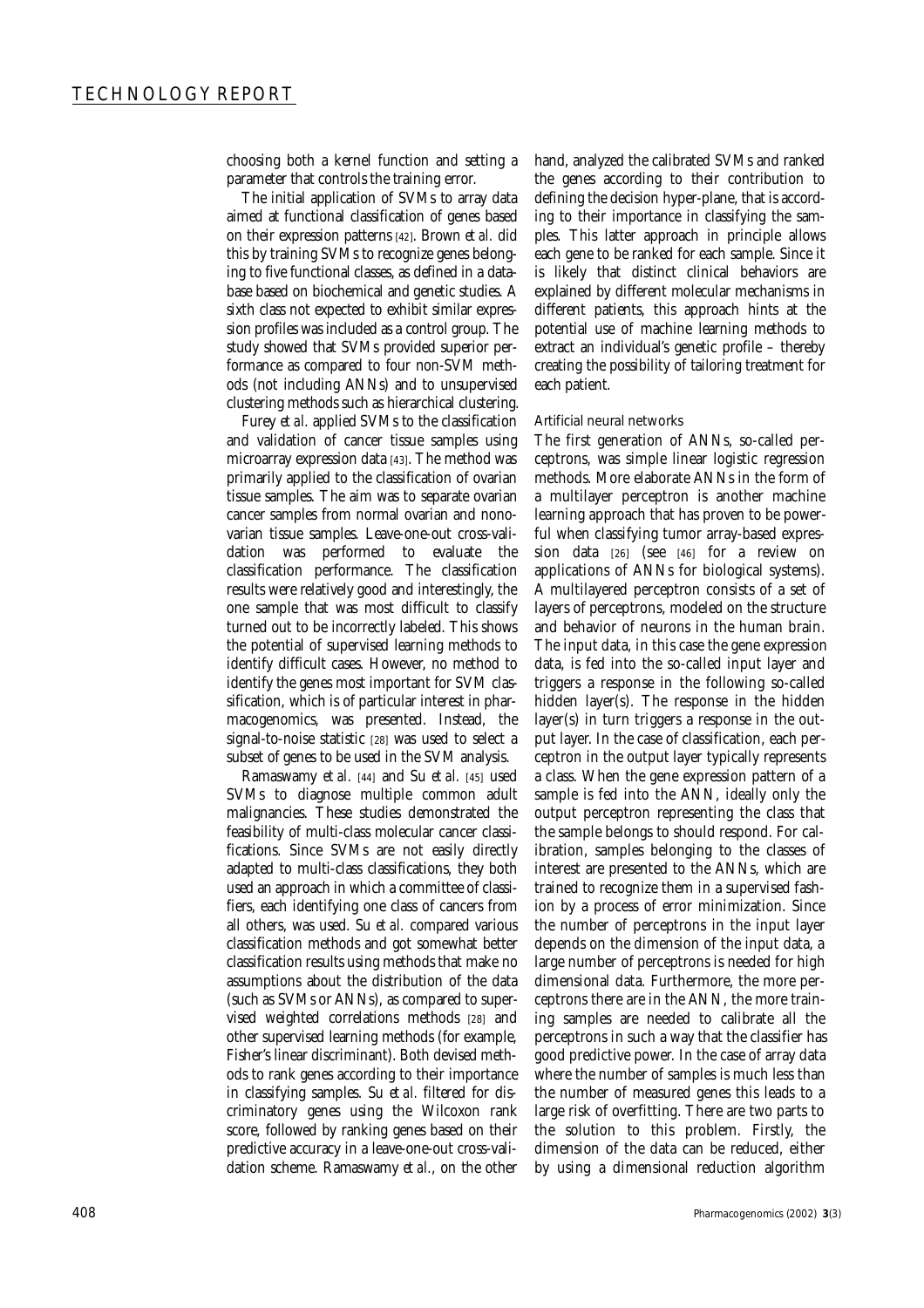choosing both a kernel function and setting a parameter that controls the training error.

The initial application of SVMs to array data aimed at functional classification of genes based on their expression patterns [42]. Brown *et al.* did this by training SVMs to recognize genes belonging to five functional classes, as defined in a database based on biochemical and genetic studies. A sixth class not expected to exhibit similar expression profiles was included as a control group. The study showed that SVMs provided superior performance as compared to four non-SVM methods (not including ANNs) and to unsupervised clustering methods such as hierarchical clustering.

Furey *et al.* applied SVMs to the classification and validation of cancer tissue samples using microarray expression data [43]. The method was primarily applied to the classification of ovarian tissue samples. The aim was to separate ovarian cancer samples from normal ovarian and nonovarian tissue samples. Leave-one-out cross-validation was performed to evaluate the classification performance. The classification results were relatively good and interestingly, the one sample that was most difficult to classify turned out to be incorrectly labeled. This shows the potential of supervised learning methods to identify difficult cases. However, no method to identify the genes most important for SVM classification, which is of particular interest in pharmacogenomics, was presented. Instead, the signal-to-noise statistic [28] was used to select a subset of genes to be used in the SVM analysis.

Ramaswamy *et al.* [44] and Su *et al.* [45] used SVMs to diagnose multiple common adult malignancies. These studies demonstrated the feasibility of multi-class molecular cancer classifications. Since SVMs are not easily directly adapted to multi-class classifications, they both used an approach in which a committee of classifiers, each identifying one class of cancers from all others, was used. Su *et al.* compared various classification methods and got somewhat better classification results using methods that make no assumptions about the distribution of the data (such as SVMs or ANNs), as compared to supervised weighted correlations methods [28] and other supervised learning methods (for example, Fisher's linear discriminant). Both devised methods to rank genes according to their importance in classifying samples. Su *et al.* filtered for discriminatory genes using the Wilcoxon rank score, followed by ranking genes based on their predictive accuracy in a leave-one-out cross-validation scheme. Ramaswamy *et al.,* on the other

hand, analyzed the calibrated SVMs and ranked the genes according to their contribution to defining the decision hyper-plane, that is according to their importance in classifying the samples. This latter approach in principle allows each gene to be ranked for each sample. Since it is likely that distinct clinical behaviors are explained by different molecular mechanisms in different patients, this approach hints at the potential use of machine learning methods to extract an individual's genetic profile – thereby creating the possibility of tailoring treatment for each patient.

#### *Artificial neural networks*

The first generation of ANNs, so-called perceptrons, was simple linear logistic regression methods. More elaborate ANNs in the form of a multilayer perceptron is another machine learning approach that has proven to be powerful when classifying tumor array-based expression data [26] (see [46] for a review on applications of ANNs for biological systems). A multilayered perceptron consists of a set of layers of perceptrons, modeled on the structure and behavior of neurons in the human brain. The input data, in this case the gene expression data, is fed into the so-called input layer and triggers a response in the following so-called hidden layer(s). The response in the hidden layer(s) in turn triggers a response in the output layer. In the case of classification, each perceptron in the output layer typically represents a class. When the gene expression pattern of a sample is fed into the ANN, ideally only the output perceptron representing the class that the sample belongs to should respond. For calibration, samples belonging to the classes of interest are presented to the ANNs, which are trained to recognize them in a supervised fashion by a process of error minimization. Since the number of perceptrons in the input layer depends on the dimension of the input data, a large number of perceptrons is needed for high dimensional data. Furthermore, the more perceptrons there are in the ANN, the more training samples are needed to calibrate all the perceptrons in such a way that the classifier has good predictive power. In the case of array data where the number of samples is much less than the number of measured genes this leads to a large risk of overfitting. There are two parts to the solution to this problem. Firstly, the dimension of the data can be reduced, either by using a dimensional reduction algorithm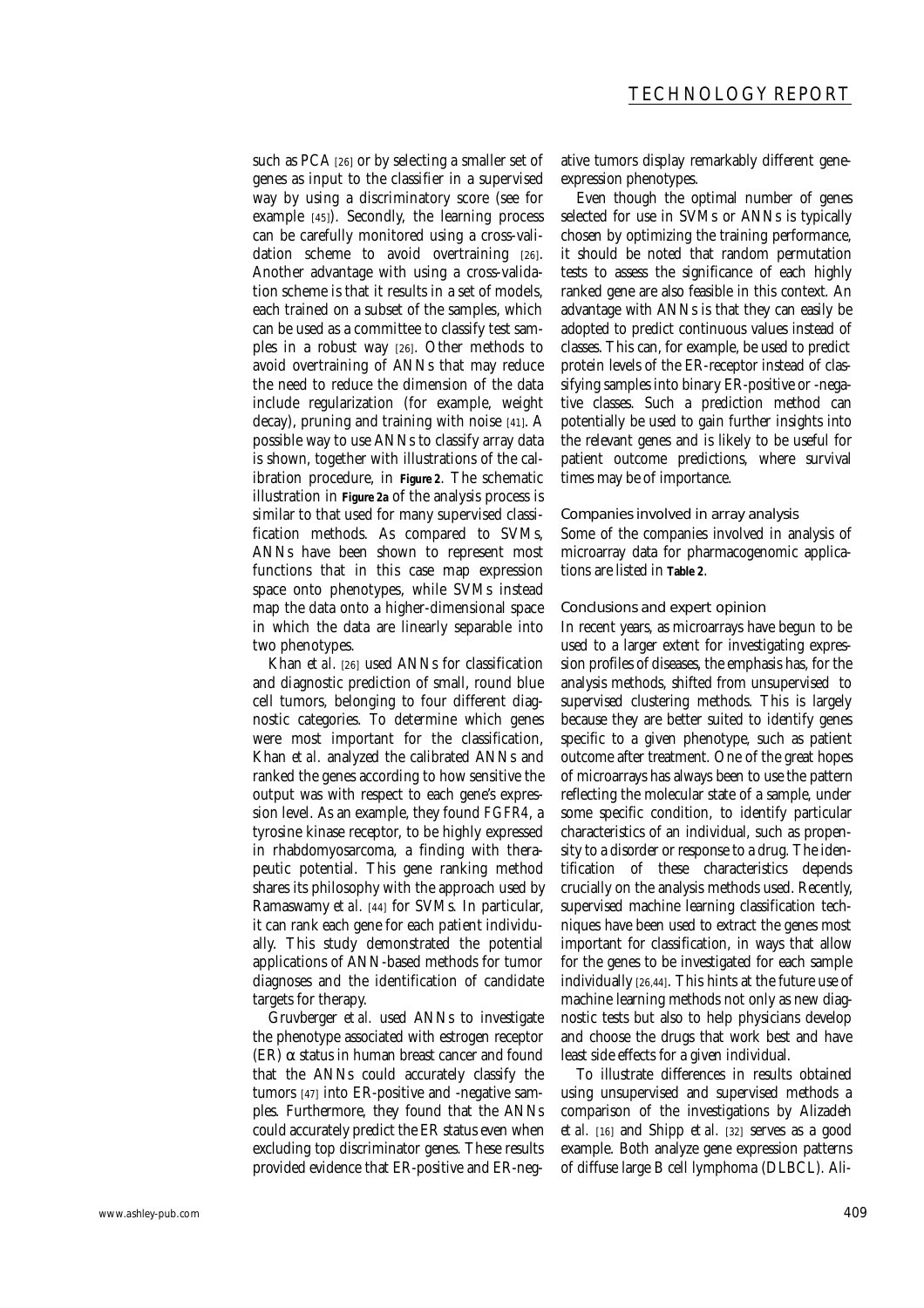such as PCA [26] or by selecting a smaller set of genes as input to the classifier in a supervised way by using a discriminatory score (see for example [45]). Secondly, the learning process can be carefully monitored using a cross-validation scheme to avoid overtraining [26]. Another advantage with using a cross-validation scheme is that it results in a set of models, each trained on a subset of the samples, which can be used as a committee to classify test samples in a robust way [26]. Other methods to avoid overtraining of ANNs that may reduce the need to reduce the dimension of the data include regularization (for example, weight decay), pruning and training with noise [41]. A possible way to use ANNs to classify array data is shown, together with illustrations of the calibration procedure, in **Figure 2**. The schematic illustration in **Figure 2a** of the analysis process is similar to that used for many supervised classification methods. As compared to SVMs, ANNs have been shown to represent most functions that in this case map expression space onto phenotypes, while SVMs instead map the data onto a higher-dimensional space in which the data are linearly separable into two phenotypes.

Khan *et al.* [26] used ANNs for classification and diagnostic prediction of small, round blue cell tumors, belonging to four different diagnostic categories. To determine which genes were most important for the classification, Khan *et al.* analyzed the calibrated ANNs and ranked the genes according to how sensitive the output was with respect to each gene's expression level. As an example, they found *FGFR4*, a tyrosine kinase receptor, to be highly expressed in rhabdomyosarcoma, a finding with therapeutic potential. This gene ranking method shares its philosophy with the approach used by Ramaswamy *et al.* [44] for SVMs. In particular, it can rank each gene for each patient individually. This study demonstrated the potential applications of ANN-based methods for tumor diagnoses and the identification of candidate targets for therapy.

Gruvberger *et al.* used ANNs to investigate the phenotype associated with estrogen receptor (ER) α status in human breast cancer and found that the ANNs could accurately classify the tumors [47] into ER-positive and -negative samples. Furthermore, they found that the ANNs could accurately predict the ER status even when excluding top discriminator genes. These results provided evidence that ER-positive and ER-negative tumors display remarkably different geneexpression phenotypes.

Even though the optimal number of genes selected for use in SVMs or ANNs is typically chosen by optimizing the training performance, it should be noted that random permutation tests to assess the significance of each highly ranked gene are also feasible in this context. An advantage with ANNs is that they can easily be adopted to predict continuous values instead of classes. This can, for example, be used to predict protein levels of the ER-receptor instead of classifying samples into binary ER-positive or -negative classes. Such a prediction method can potentially be used to gain further insights into the relevant genes and is likely to be useful for patient outcome predictions, where survival times may be of importance.

#### Companies involved in array analysis

Some of the companies involved in analysis of microarray data for pharmacogenomic applications are listed in **Table 2**.

#### Conclusions and expert opinion

In recent years, as microarrays have begun to be used to a larger extent for investigating expression profiles of diseases, the emphasis has, for the analysis methods, shifted from unsupervised to supervised clustering methods. This is largely because they are better suited to identify genes specific to a given phenotype, such as patient outcome after treatment. One of the great hopes of microarrays has always been to use the pattern reflecting the molecular state of a sample, under some specific condition, to identify particular characteristics of an individual, such as propensity to a disorder or response to a drug. The identification of these characteristics depends crucially on the analysis methods used. Recently, supervised machine learning classification techniques have been used to extract the genes most important for classification, in ways that allow for the genes to be investigated for each sample individually [26,44]. This hints at the future use of machine learning methods not only as new diagnostic tests but also to help physicians develop and choose the drugs that work best and have least side effects for a given individual.

To illustrate differences in results obtained using unsupervised and supervised methods a comparison of the investigations by Alizadeh *et al.* [16] and Shipp *et al.* [32] serves as a good example. Both analyze gene expression patterns of diffuse large B cell lymphoma (DLBCL). Ali-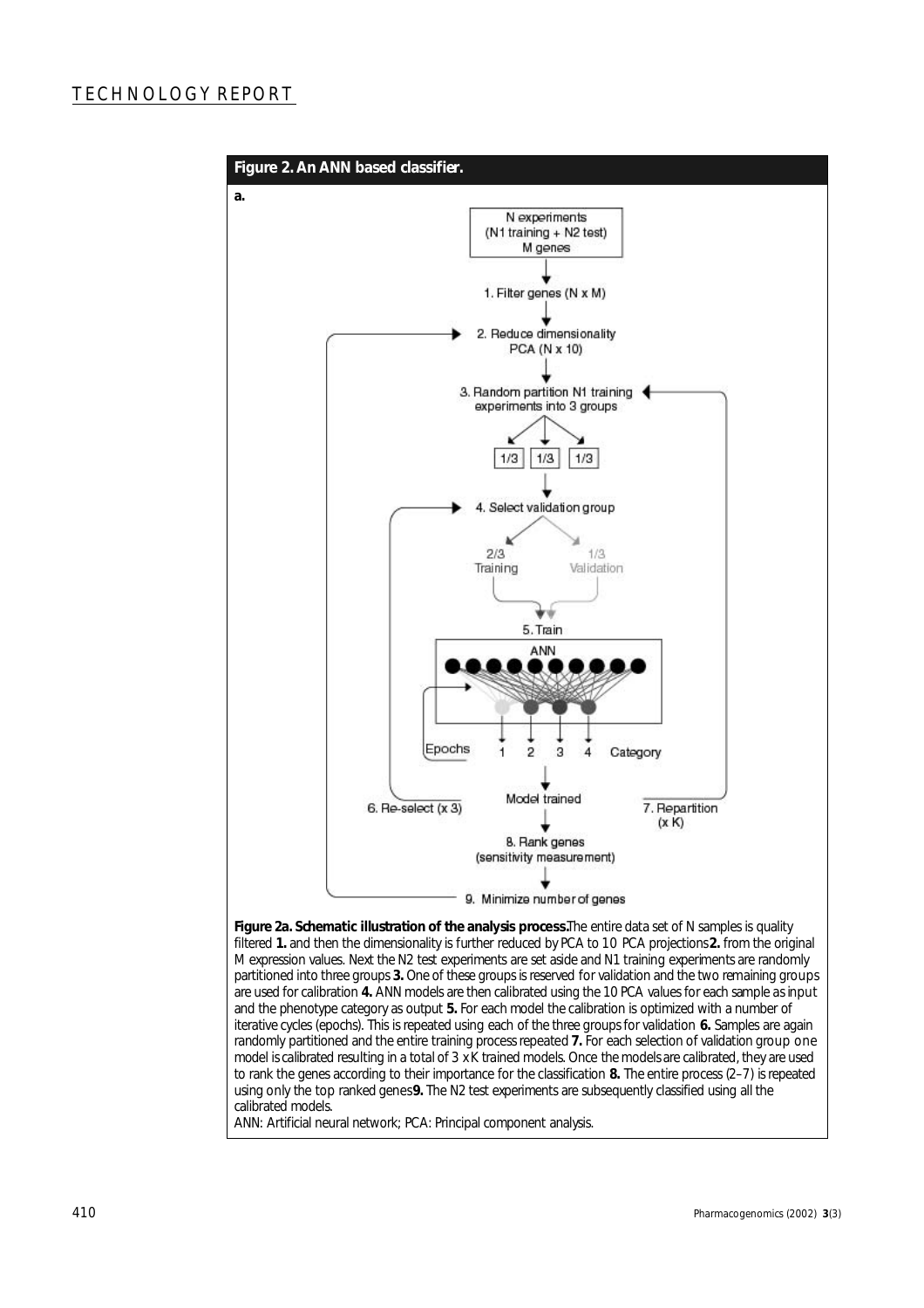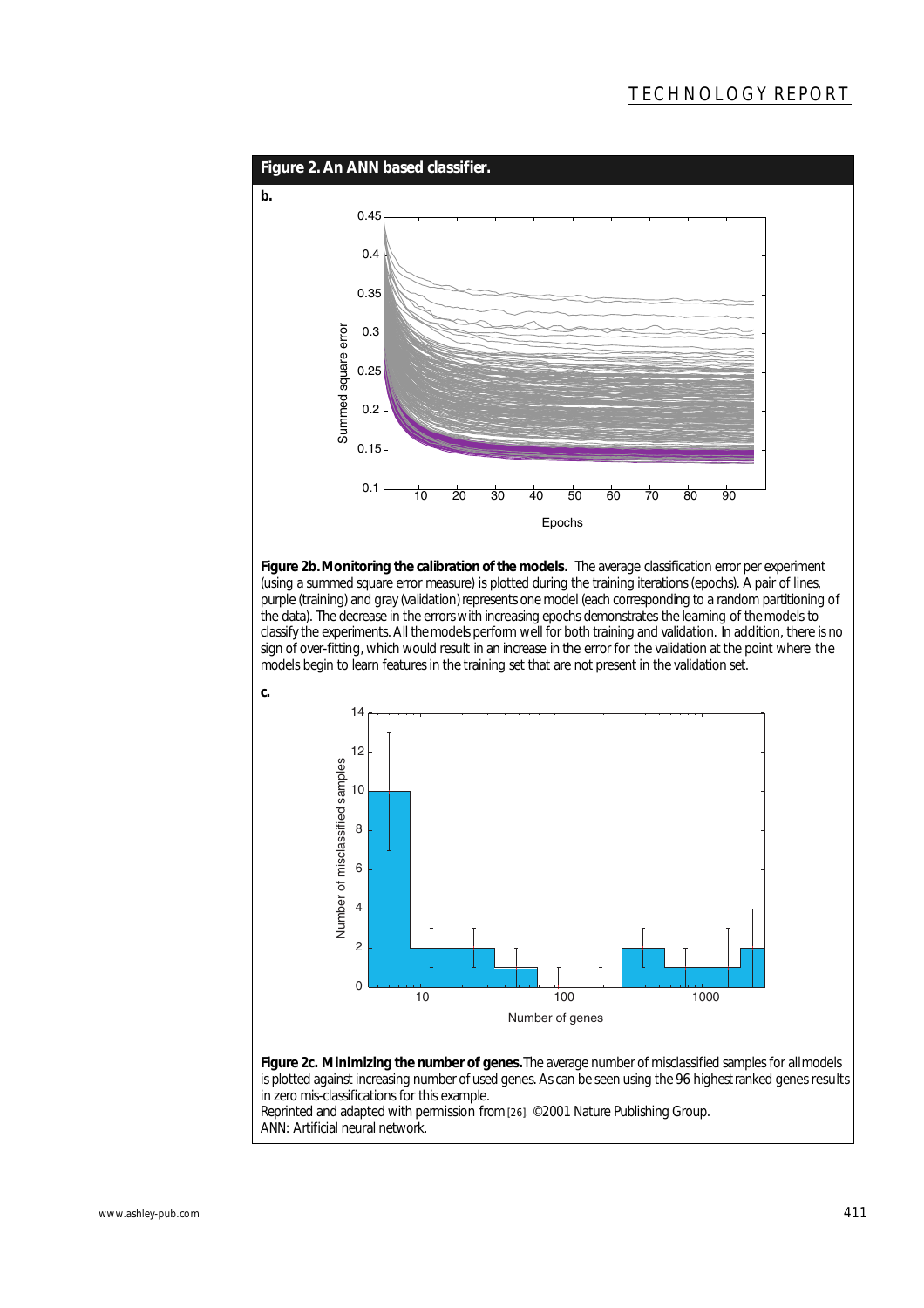

(using a summed square error measure) is plotted during the training iterations (epochs). A pair of lines, purple (training) and gray (validation) represents one model (each corresponding to a random partitioning of the data). The decrease in the errors with increasing epochs demonstrates the learning of the models to classify the experiments. All the models perform well for both training and validation. In addition, there is no sign of over-fitting, which would result in an increase in the error for the validation at the point where the models begin to learn features in the training set that are not present in the validation set.



in zero mis-classifications for this example. Reprinted and adapted with permission from [26]. ©2001 Nature Publishing Group.

ANN: Artificial neural network.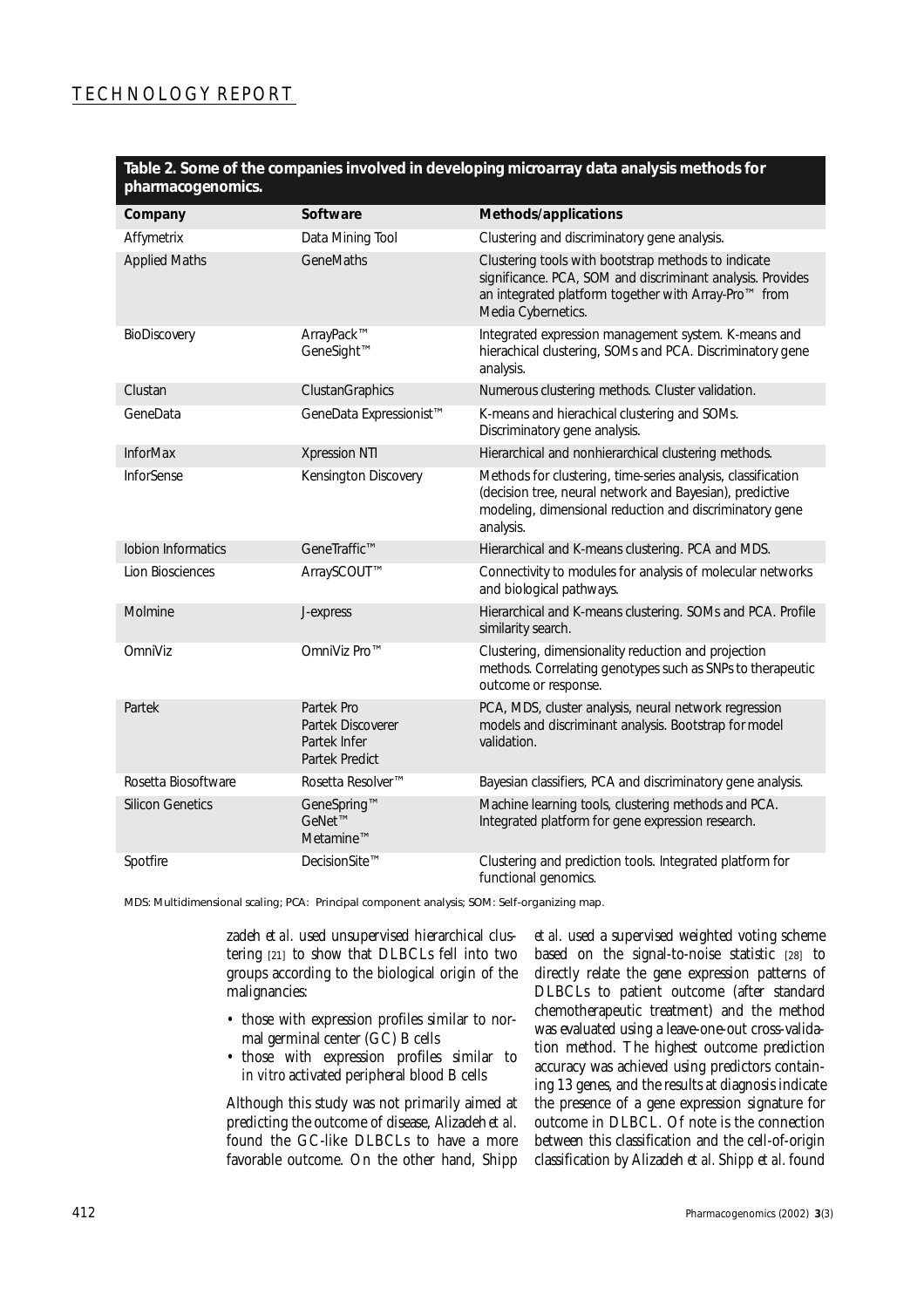#### **Table 2. Some of the companies involved in developing microarray data analysis methods for pharmacogenomics.**

| Company                 | Software                                                                 | Methods/applications                                                                                                                                                                             |
|-------------------------|--------------------------------------------------------------------------|--------------------------------------------------------------------------------------------------------------------------------------------------------------------------------------------------|
| Affymetrix              | Data Mining Tool                                                         | Clustering and discriminatory gene analysis.                                                                                                                                                     |
| <b>Applied Maths</b>    | <b>GeneMaths</b>                                                         | Clustering tools with bootstrap methods to indicate<br>significance. PCA, SOM and discriminant analysis. Provides<br>an integrated platform together with Array-Pro™ from<br>Media Cybernetics.  |
| BioDiscovery            | ArrayPack™<br>GeneSight™                                                 | Integrated expression management system. K-means and<br>hierachical clustering, SOMs and PCA. Discriminatory gene<br>analysis.                                                                   |
| Clustan                 | ClustanGraphics                                                          | Numerous clustering methods. Cluster validation.                                                                                                                                                 |
| GeneData                | GeneData Expressionist™                                                  | K-means and hierachical clustering and SOMs.<br>Discriminatory gene analysis.                                                                                                                    |
| <b>InforMax</b>         | Xpression NTI                                                            | Hierarchical and nonhierarchical clustering methods.                                                                                                                                             |
| <b>InforSense</b>       | Kensington Discovery                                                     | Methods for clustering, time-series analysis, classification<br>(decision tree, neural network and Bayesian), predictive<br>modeling, dimensional reduction and discriminatory gene<br>analysis. |
| Iobion Informatics      | GeneTraffic™                                                             | Hierarchical and K-means clustering. PCA and MDS.                                                                                                                                                |
| <b>Lion Biosciences</b> | ArraySCOUT™                                                              | Connectivity to modules for analysis of molecular networks<br>and biological pathways.                                                                                                           |
| Molmine                 | J-express                                                                | Hierarchical and K-means clustering. SOMs and PCA. Profile<br>similarity search.                                                                                                                 |
| OmniViz                 | OmniViz Pro™                                                             | Clustering, dimensionality reduction and projection<br>methods. Correlating genotypes such as SNPs to therapeutic<br>outcome or response.                                                        |
| Partek                  | Partek Pro<br>Partek Discoverer<br>Partek Infer<br><b>Partek Predict</b> | PCA, MDS, cluster analysis, neural network regression<br>models and discriminant analysis. Bootstrap for model<br>validation.                                                                    |
| Rosetta Biosoftware     | Rosetta Resolver™                                                        | Bayesian classifiers, PCA and discriminatory gene analysis.                                                                                                                                      |
| <b>Silicon Genetics</b> | GeneSpring™<br>GeNet™<br>Metamine™                                       | Machine learning tools, clustering methods and PCA.<br>Integrated platform for gene expression research.                                                                                         |
| Spotfire                | DecisionSite™                                                            | Clustering and prediction tools. Integrated platform for<br>functional genomics.                                                                                                                 |

*MDS: Multidimensional scaling; PCA: Principal component analysis; SOM: Self-organizing map.*

zadeh *et al.* used unsupervised hierarchical clustering [21] to show that DLBCLs fell into two groups according to the biological origin of the malignancies:

- those with expression profiles similar to normal germinal center (GC) B cells
- those with expression profiles similar to *in vitro* activated peripheral blood B cells

Although this study was not primarily aimed at predicting the outcome of disease, Alizadeh *et al.* found the GC-like DLBCLs to have a more favorable outcome. On the other hand, Shipp *et al.* used a supervised weighted voting scheme based on the signal-to-noise statistic [28] to directly relate the gene expression patterns of DLBCLs to patient outcome (after standard chemotherapeutic treatment) and the method was evaluated using a leave-one-out cross-validation method. The highest outcome prediction accuracy was achieved using predictors containing 13 genes, and the results at diagnosis indicate the presence of a gene expression signature for outcome in DLBCL. Of note is the connection between this classification and the cell-of-origin classification by Alizadeh *et al.* Shipp *et al.* found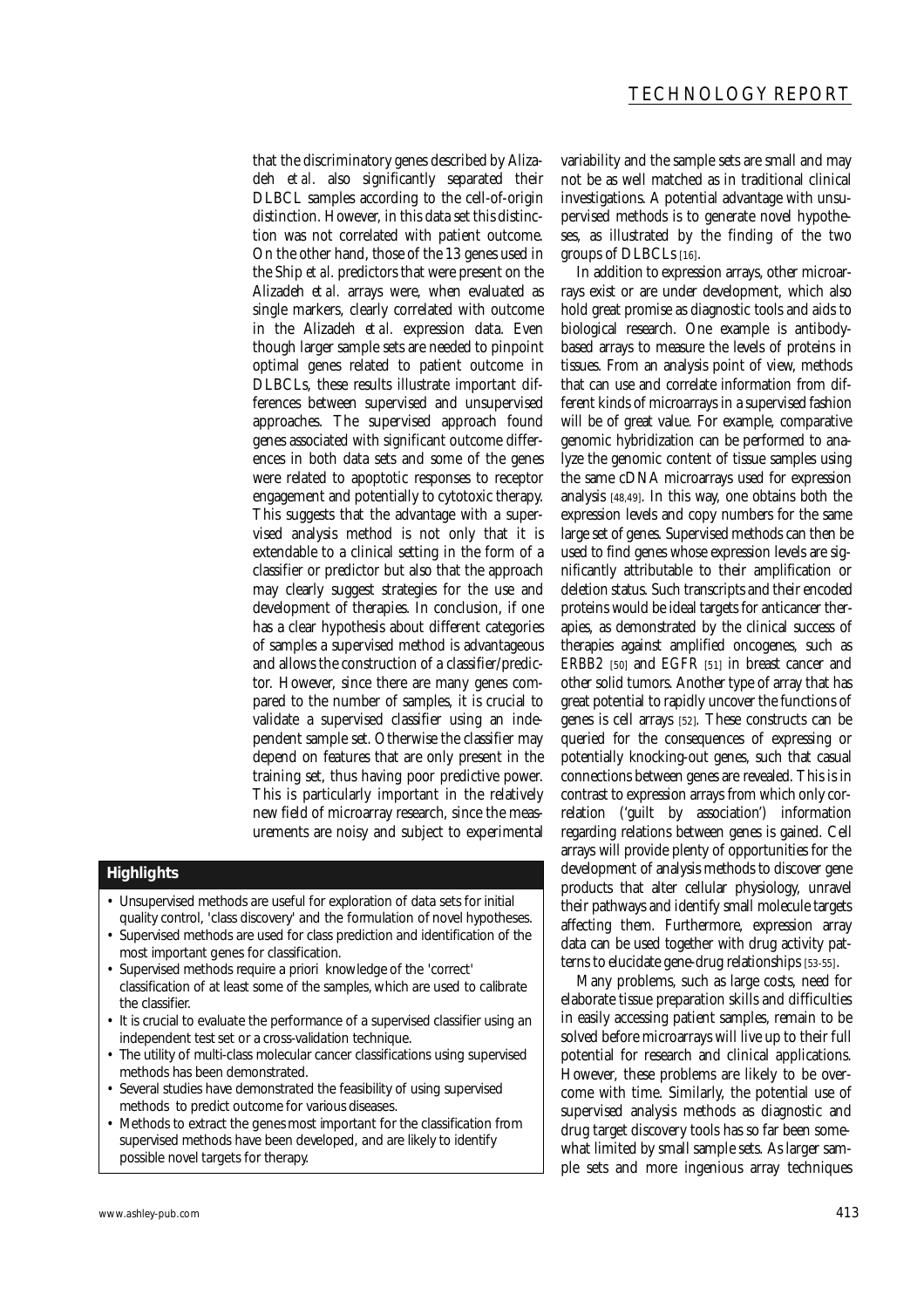that the discriminatory genes described by Alizadeh *et al.* also significantly separated their DLBCL samples according to the cell-of-origin distinction. However, in this data set this distinction was not correlated with patient outcome. On the other hand, those of the 13 genes used in the Ship *et al.* predictors that were present on the Alizadeh *et al.* arrays were, when evaluated as single markers, clearly correlated with outcome in the Alizadeh *et al.* expression data. Even though larger sample sets are needed to pinpoint optimal genes related to patient outcome in DLBCLs, these results illustrate important differences between supervised and unsupervised approaches. The supervised approach found genes associated with significant outcome differences in both data sets and some of the genes were related to apoptotic responses to receptor engagement and potentially to cytotoxic therapy. This suggests that the advantage with a supervised analysis method is not only that it is extendable to a clinical setting in the form of a classifier or predictor but also that the approach may clearly suggest strategies for the use and development of therapies. In conclusion, if one has a clear hypothesis about different categories of samples a supervised method is advantageous and allows the construction of a classifier/predictor. However, since there are many genes compared to the number of samples, it is crucial to validate a supervised classifier using an independent sample set. Otherwise the classifier may depend on features that are only present in the training set, thus having poor predictive power. This is particularly important in the relatively new field of microarray research, since the measurements are noisy and subject to experimental

#### **Highlights**

- Unsupervised methods are useful for exploration of data sets for initial quality control, 'class discovery' and the formulation of novel hypotheses.
- Supervised methods are used for class prediction and identification of the most important genes for classification.
- Supervised methods require a priori knowledge of the 'correct' classification of at least some of the samples, which are used to calibrate the classifier.
- It is crucial to evaluate the performance of a supervised classifier using an independent test set or a cross-validation technique.
- The utility of multi-class molecular cancer classifications using supervised methods has been demonstrated.
- Several studies have demonstrated the feasibility of using supervised methods to predict outcome for various diseases.
- Methods to extract the genes most important for the classification from supervised methods have been developed, and are likely to identify possible novel targets for therapy.

In addition to expression arrays, other microarrays exist or are under development, which also hold great promise as diagnostic tools and aids to biological research. One example is antibodybased arrays to measure the levels of proteins in tissues. From an analysis point of view, methods that can use and correlate information from different kinds of microarrays in a supervised fashion will be of great value. For example, comparative genomic hybridization can be performed to analyze the genomic content of tissue samples using the same cDNA microarrays used for expression analysis [48,49]. In this way, one obtains both the expression levels and copy numbers for the same large set of genes. Supervised methods can then be used to find genes whose expression levels are significantly attributable to their amplification or deletion status. Such transcripts and their encoded proteins would be ideal targets for anticancer therapies, as demonstrated by the clinical success of therapies against amplified oncogenes, such as *ERBB2* [50] and *EGFR* [51] in breast cancer and other solid tumors. Another type of array that has great potential to rapidly uncover the functions of genes is cell arrays [52]. These constructs can be queried for the consequences of expressing or potentially knocking-out genes, such that casual connections between genes are revealed. This is in contrast to expression arrays from which only correlation ('guilt by association') information regarding relations between genes is gained. Cell arrays will provide plenty of opportunities for the development of analysis methods to discover gene products that alter cellular physiology, unravel their pathways and identify small molecule targets affecting them. Furthermore, expression array data can be used together with drug activity patterns to elucidate gene-drug relationships [53-55].

Many problems, such as large costs, need for elaborate tissue preparation skills and difficulties in easily accessing patient samples, remain to be solved before microarrays will live up to their full potential for research and clinical applications. However, these problems are likely to be overcome with time. Similarly, the potential use of supervised analysis methods as diagnostic and drug target discovery tools has so far been somewhat limited by small sample sets. As larger sample sets and more ingenious array techniques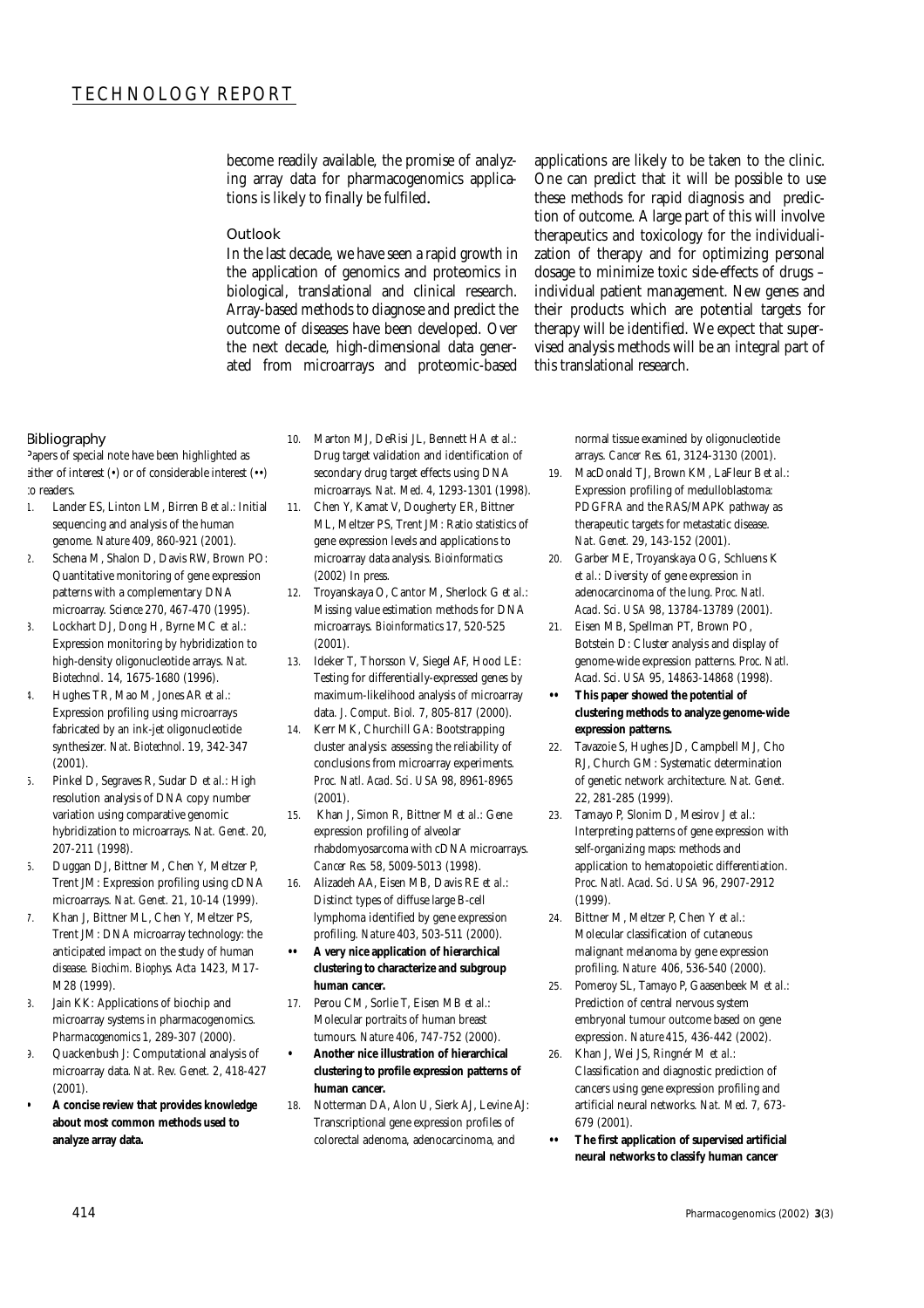become readily available, the promise of analyzing array data for pharmacogenomics applications is likely to finally be fulfiled.

#### Outlook

In the last decade, we have seen a rapid growth in the application of genomics and proteomics in biological, translational and clinical research. Array-based methods to diagnose and predict the outcome of diseases have been developed. Over the next decade, high-dimensional data generated from microarrays and proteomic-based applications are likely to be taken to the clinic. One can predict that it will be possible to use these methods for rapid diagnosis and prediction of outcome. A large part of this will involve therapeutics and toxicology for the individualization of therapy and for optimizing personal dosage to minimize toxic side-effects of drugs – individual patient management. New genes and their products which are potential targets for therapy will be identified. We expect that supervised analysis methods will be an integral part of this translational research.

#### Bibliography

Papers of special note have been highlighted as either of interest (•) or of considerable interest (••) to readers.

- 1. Lander ES, Linton LM, Birren B *et al.*: Initial sequencing and analysis of the human genome. *Nature* 409, 860-921 (2001).
- 2. Schena M, Shalon D, Davis RW, Brown PO: Quantitative monitoring of gene expression patterns with a complementary DNA microarray. *Science* 270, 467-470 (1995).
- 3. Lockhart DJ, Dong H, Byrne MC *et al.*: Expression monitoring by hybridization to high-density oligonucleotide arrays. *Nat. Biotechnol*. 14, 1675-1680 (1996).
- 4. Hughes TR, Mao M, Jones AR *et al.*: Expression profiling using microarrays fabricated by an ink-jet oligonucleotide synthesizer. *Nat. Biotechnol*. 19, 342-347 (2001).
- 5. Pinkel D, Segraves R, Sudar D *et al.*: High resolution analysis of DNA copy number variation using comparative genomic hybridization to microarrays. *Nat. Genet.* 20, 207-211 (1998).
- 6. Duggan DJ, Bittner M, Chen Y, Meltzer P, Trent JM: Expression profiling using cDNA microarrays. *Nat. Genet.* 21, 10-14 (1999).
- 7. Khan J, Bittner ML, Chen Y, Meltzer PS, Trent JM: DNA microarray technology: the anticipated impact on the study of human disease. *Biochim. Biophys. Acta* 1423, M17- M28 (1999).
- Jain KK: Applications of biochip and microarray systems in pharmacogenomics. *Pharmacogenomics* 1, 289-307 (2000).
- 9. Quackenbush J: Computational analysis of microarray data. *Nat. Rev. Genet.* 2, 418-427  $(2001)$
- **• A concise review that provides knowledge about most common methods used to analyze array data.**
- 10. Marton MJ, DeRisi JL, Bennett HA *et al.*: Drug target validation and identification of secondary drug target effects using DNA microarrays. *Nat. Med.* 4, 1293-1301 (1998).
- 11. Chen Y, Kamat V, Dougherty ER, Bittner ML, Meltzer PS, Trent JM: Ratio statistics of gene expression levels and applications to microarray data analysis. *Bioinformatics* (2002) In press.
- 12. Troyanskaya O, Cantor M, Sherlock G *et al.*: Missing value estimation methods for DNA microarrays. *Bioinformatics* 17, 520-525 (2001).
- 13. Ideker T, Thorsson V, Siegel AF, Hood LE: Testing for differentially-expressed genes by maximum-likelihood analysis of microarray data. *J. Comput. Biol.* 7, 805-817 (2000).
- 14. Kerr MK, Churchill GA: Bootstrapping cluster analysis: assessing the reliability of conclusions from microarray experiments. *Proc. Natl. Acad. Sci. USA* 98, 8961-8965 (2001).
- 15. Khan J, Simon R, Bittner M *et al.*: Gene expression profiling of alveolar rhabdomyosarcoma with cDNA microarrays. *Cancer Res.* 58, 5009-5013 (1998).
- 16. Alizadeh AA, Eisen MB, Davis RE *et al.*: Distinct types of diffuse large B-cell lymphoma identified by gene expression profiling. *Nature* 403, 503-511 (2000).
- **•• A very nice application of hierarchical clustering to characterize and subgroup human cancer.**
- 17. Perou CM, Sorlie T, Eisen MB *et al.*: Molecular portraits of human breast tumours. *Nature* 406, 747-752 (2000).
	- **Another nice illustration of hierarchical clustering to profile expression patterns of human cancer.**
- 18. Notterman DA, Alon U, Sierk AJ, Levine AJ: Transcriptional gene expression profiles of colorectal adenoma, adenocarcinoma, and

normal tissue examined by oligonucleotide arrays. *Cancer Res.* 61, 3124-3130 (2001).

- 19. MacDonald TJ, Brown KM, LaFleur B *et al.*: Expression profiling of medulloblastoma: PDGFRA and the RAS/MAPK pathway as therapeutic targets for metastatic disease. *Nat. Genet.* 29, 143-152 (2001).
- 20. Garber ME, Troyanskaya OG, Schluens K *et al.*: Diversity of gene expression in adenocarcinoma of the lung. *Proc. Natl. Acad. Sci. USA* 98, 13784-13789 (2001).
- 21. Eisen MB, Spellman PT, Brown PO, Botstein D: Cluster analysis and display of genome-wide expression patterns. *Proc. Natl. Acad. Sci. USA* 95, 14863-14868 (1998).
- **•• This paper showed the potential of clustering methods to analyze genome-wide expression patterns.**
- 22. Tavazoie S, Hughes JD, Campbell MJ, Cho RJ, Church GM: Systematic determination of genetic network architecture. *Nat. Genet.* 22, 281-285 (1999).
- 23. Tamayo P, Slonim D, Mesirov J *et al.*: Interpreting patterns of gene expression with self-organizing maps: methods and application to hematopoietic differentiation. *Proc. Natl. Acad. Sci. USA* 96, 2907-2912 (1999).
- 24. Bittner M, Meltzer P, Chen Y *et al.*: Molecular classification of cutaneous malignant melanoma by gene expression profiling. *Nature* 406, 536-540 (2000).
- 25. Pomeroy SL, Tamayo P, Gaasenbeek M *et al.*: Prediction of central nervous system embryonal tumour outcome based on gene expression. *Nature* 415, 436-442 (2002).
- 26. Khan J, Wei JS, Ringnér M *et al.*: Classification and diagnostic prediction of cancers using gene expression profiling and artificial neural networks. *Nat. Med*. 7, 673- 679 (2001).
- **•• The first application of supervised artificial neural networks to classify human cancer**